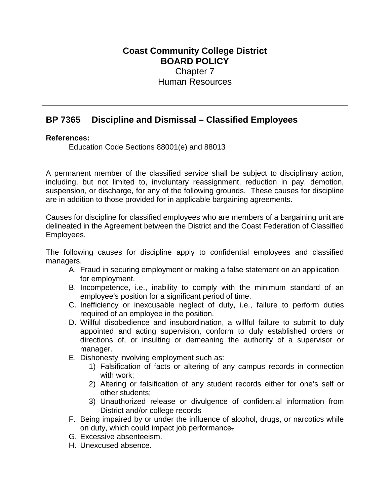## **Coast Community College District BOARD POLICY** Chapter 7 Human Resources

## **BP 7365 Discipline and Dismissal – Classified Employees**

## **References:**

Education Code Sections 88001(e) and 88013

A permanent member of the classified service shall be subject to disciplinary action, including, but not limited to, involuntary reassignment, reduction in pay, demotion, suspension, or discharge, for any of the following grounds. These causes for discipline are in addition to those provided for in applicable bargaining agreements.

Causes for discipline for classified employees who are members of a bargaining unit are delineated in the Agreement between the District and the Coast Federation of Classified Employees.

The following causes for discipline apply to confidential employees and classified managers.

- A. Fraud in securing employment or making a false statement on an application for employment.
- B. Incompetence, i.e., inability to comply with the minimum standard of an employee's position for a significant period of time.
- C. Inefficiency or inexcusable neglect of duty, i.e., failure to perform duties required of an employee in the position.
- D. Willful disobedience and insubordination, a willful failure to submit to duly appointed and acting supervision, conform to duly established orders or directions of, or insulting or demeaning the authority of a supervisor or manager.
- E. Dishonesty involving employment such as:
	- 1) Falsification of facts or altering of any campus records in connection with work;
	- 2) Altering or falsification of any student records either for one's self or other students;
	- 3) Unauthorized release or divulgence of confidential information from District and/or college records
- F. Being impaired by or under the influence of alcohol, drugs, or narcotics while on duty, which could impact job performance.
- G. Excessive absenteeism.
- H. Unexcused absence.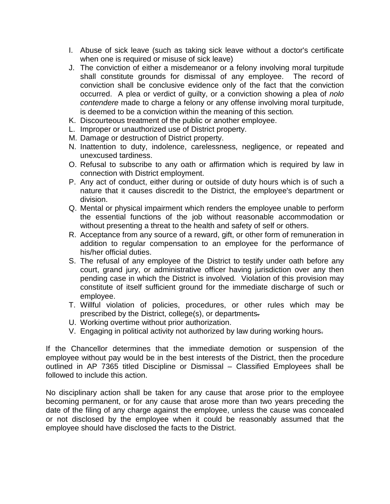- I. Abuse of sick leave (such as taking sick leave without a doctor's certificate when one is required or misuse of sick leave)
- J. The conviction of either a misdemeanor or a felony involving moral turpitude shall constitute grounds for dismissal of any employee. The record of conviction shall be conclusive evidence only of the fact that the conviction occurred. A plea or verdict of guilty, or a conviction showing a plea of *nolo contendere* made to charge a felony or any offense involving moral turpitude, is deemed to be a conviction within the meaning of this section*.*
- K. Discourteous treatment of the public or another employee.
- L. Improper or unauthorized use of District property.
- M. Damage or destruction of District property.
- N. Inattention to duty, indolence, carelessness, negligence, or repeated and unexcused tardiness.
- O. Refusal to subscribe to any oath or affirmation which is required by law in connection with District employment.
- P. Any act of conduct, either during or outside of duty hours which is of such a nature that it causes discredit to the District, the employee's department or division.
- Q. Mental or physical impairment which renders the employee unable to perform the essential functions of the job without reasonable accommodation or without presenting a threat to the health and safety of self or others.
- R. Acceptance from any source of a reward, gift, or other form of remuneration in addition to regular compensation to an employee for the performance of his/her official duties.
- S. The refusal of any employee of the District to testify under oath before any court, grand jury, or administrative officer having jurisdiction over any then pending case in which the District is involved*.* Violation of this provision may constitute of itself sufficient ground for the immediate discharge of such or employee.
- T. Willful violation of policies, procedures, or other rules which may be prescribed by the District, college(s), or departments.
- U. Working overtime without prior authorization.
- V. Engaging in political activity not authorized by law during working hours.

If the Chancellor determines that the immediate demotion or suspension of the employee without pay would be in the best interests of the District, then the procedure outlined in AP 7365 titled Discipline or Dismissal – Classified Employees shall be followed to include this action.

No disciplinary action shall be taken for any cause that arose prior to the employee becoming permanent, or for any cause that arose more than two years preceding the date of the filing of any charge against the employee, unless the cause was concealed or not disclosed by the employee when it could be reasonably assumed that the employee should have disclosed the facts to the District.